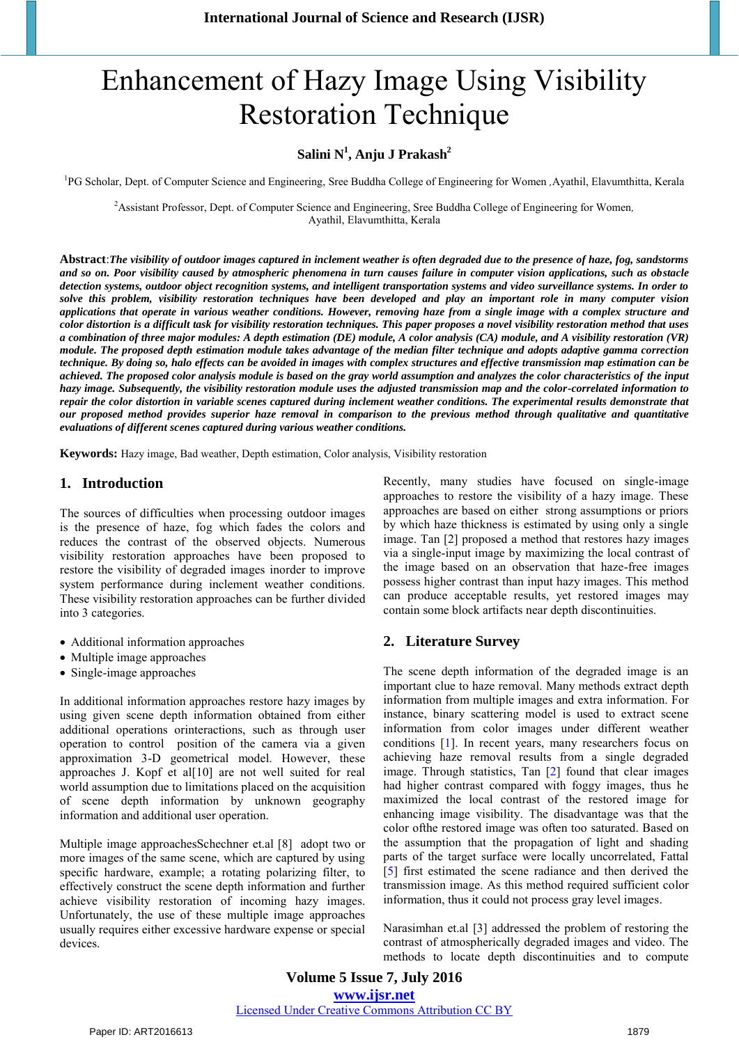# Enhancement of Hazy Image Using Visibility Restoration Technique

# **Salini N<sup>1</sup> , Anju J Prakash<sup>2</sup>**

<sup>1</sup>PG Scholar, Dept. of Computer Science and Engineering, Sree Buddha College of Engineering for Women ,Ayathil, Elavumthitta, Kerala

<sup>2</sup>Assistant Professor, Dept. of Computer Science and Engineering, Sree Buddha College of Engineering for Women*,* Ayathil, Elavumthitta, Kerala

**Abstract**:*The visibility of outdoor images captured in inclement weather is often degraded due to the presence of haze, fog, sandstorms and so on. Poor visibility caused by atmospheric phenomena in turn causes failure in computer vision applications, such as obstacle detection systems, outdoor object recognition systems, and intelligent transportation systems and video surveillance systems. In order to solve this problem, visibility restoration techniques have been developed and play an important role in many computer vision applications that operate in various weather conditions. However, removing haze from a single image with a complex structure and color distortion is a difficult task for visibility restoration techniques. This paper proposes a novel visibility restoration method that uses a combination of three major modules: A depth estimation (DE) module, A color analysis (CA) module, and A visibility restoration (VR) module. The proposed depth estimation module takes advantage of the median filter technique and adopts adaptive gamma correction technique. By doing so, halo effects can be avoided in images with complex structures and effective transmission map estimation can be achieved. The proposed color analysis module is based on the gray world assumption and analyzes the color characteristics of the input hazy image. Subsequently, the visibility restoration module uses the adjusted transmission map and the color-correlated information to repair the color distortion in variable scenes captured during inclement weather conditions. The experimental results demonstrate that our proposed method provides superior haze removal in comparison to the previous method through qualitative and quantitative evaluations of different scenes captured during various weather conditions.*

**Keywords:** Hazy image, Bad weather, Depth estimation, Color analysis, Visibility restoration

## **1. Introduction**

The sources of difficulties when processing outdoor images is the presence of haze, fog which fades the colors and reduces the contrast of the observed objects. Numerous visibility restoration approaches have been proposed to restore the visibility of degraded images inorder to improve system performance during inclement weather conditions. These visibility restoration approaches can be further divided into 3 categories.

- Additional information approaches
- Multiple image approaches
- Single-image approaches

In additional information approaches restore hazy images by using given scene depth information obtained from either additional operations orinteractions, such as through user operation to control position of the camera via a given approximation 3-D geometrical model. However, these approaches J. Kopf et al[10] are not well suited for real world assumption due to limitations placed on the acquisition of scene depth information by unknown geography information and additional user operation.

Multiple image approachesSchechner et.al [8] adopt two or more images of the same scene, which are captured by using specific hardware, example; a rotating polarizing filter, to effectively construct the scene depth information and further achieve visibility restoration of incoming hazy images. Unfortunately, the use of these multiple image approaches usually requires either excessive hardware expense or special devices.

Recently, many studies have focused on single-image approaches to restore the visibility of a hazy image. These approaches are based on either strong assumptions or priors by which haze thickness is estimated by using only a single image. Tan [2] proposed a method that restores hazy images via a single-input image by maximizing the local contrast of the image based on an observation that haze-free images possess higher contrast than input hazy images. This method can produce acceptable results, yet restored images may contain some block artifacts near depth discontinuities.

## **2. Literature Survey**

The scene depth information of the degraded image is an important clue to haze removal. Many methods extract depth information from multiple images and extra information. For instance, binary scattering model is used to extract scene information from color images under different weather conditions [1]. In recent years, many researchers focus on achieving haze removal results from a single degraded image. Through statistics, Tan [2] found that clear images had higher contrast compared with foggy images, thus he maximized the local contrast of the restored image for enhancing image visibility. The disadvantage was that the color ofthe restored image was often too saturated. Based on the assumption that the propagation of light and shading parts of the target surface were locally uncorrelated, Fattal [5] first estimated the scene radiance and then derived the transmission image. As this method required sufficient color information, thus it could not process gray level images.

Narasimhan et.al [3] addressed the problem of restoring the contrast of atmospherically degraded images and video. The methods to locate depth discontinuities and to compute

**Volume 5 Issue 7, July 2016 www.ijsr.net** Licensed Under Creative Commons Attribution CC BY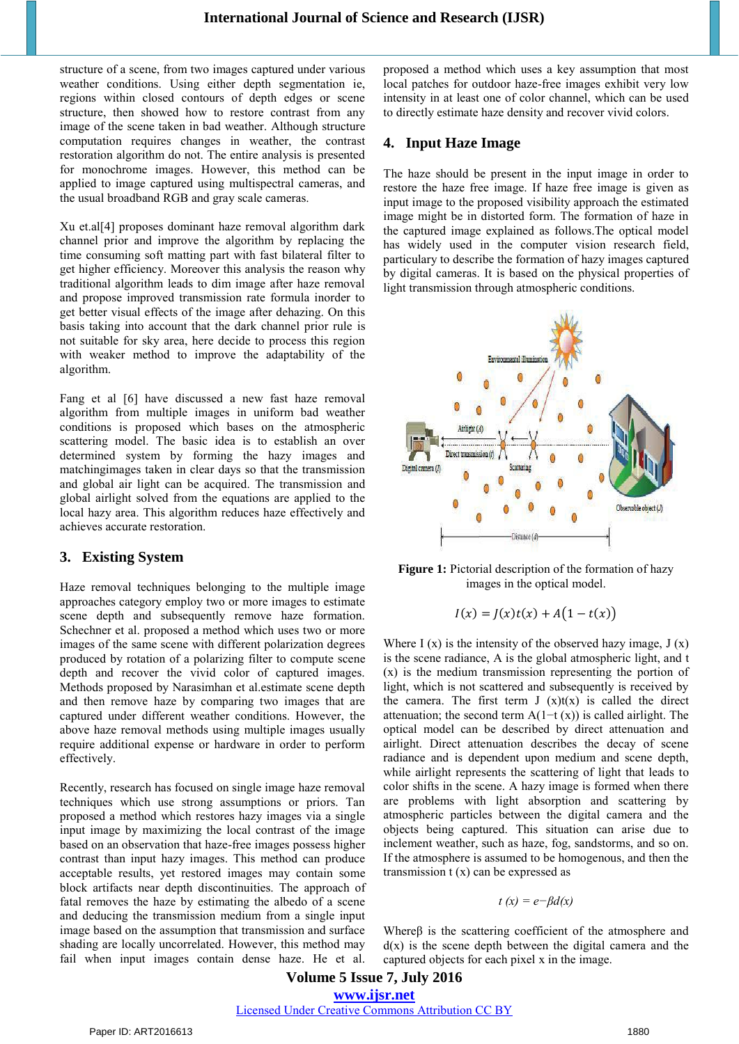structure of a scene, from two images captured under various weather conditions. Using either depth segmentation ie, regions within closed contours of depth edges or scene structure, then showed how to restore contrast from any image of the scene taken in bad weather. Although structure computation requires changes in weather, the contrast restoration algorithm do not. The entire analysis is presented for monochrome images. However, this method can be applied to image captured using multispectral cameras, and the usual broadband RGB and gray scale cameras.

Xu et.al[4] proposes dominant haze removal algorithm dark channel prior and improve the algorithm by replacing the time consuming soft matting part with fast bilateral filter to get higher efficiency. Moreover this analysis the reason why traditional algorithm leads to dim image after haze removal and propose improved transmission rate formula inorder to get better visual effects of the image after dehazing. On this basis taking into account that the dark channel prior rule is not suitable for sky area, here decide to process this region with weaker method to improve the adaptability of the algorithm.

Fang et al [6] have discussed a new fast haze removal algorithm from multiple images in uniform bad weather conditions is proposed which bases on the atmospheric scattering model. The basic idea is to establish an over determined system by forming the hazy images and matchingimages taken in clear days so that the transmission and global air light can be acquired. The transmission and global airlight solved from the equations are applied to the local hazy area. This algorithm reduces haze effectively and achieves accurate restoration.

# **3. Existing System**

Haze removal techniques belonging to the multiple image approaches category employ two or more images to estimate scene depth and subsequently remove haze formation. Schechner et al. proposed a method which uses two or more images of the same scene with different polarization degrees produced by rotation of a polarizing filter to compute scene depth and recover the vivid color of captured images. Methods proposed by Narasimhan et al.estimate scene depth and then remove haze by comparing two images that are captured under different weather conditions. However, the above haze removal methods using multiple images usually require additional expense or hardware in order to perform effectively.

Recently, research has focused on single image haze removal techniques which use strong assumptions or priors. Tan proposed a method which restores hazy images via a single input image by maximizing the local contrast of the image based on an observation that haze-free images possess higher contrast than input hazy images. This method can produce acceptable results, yet restored images may contain some block artifacts near depth discontinuities. The approach of fatal removes the haze by estimating the albedo of a scene and deducing the transmission medium from a single input image based on the assumption that transmission and surface shading are locally uncorrelated. However, this method may fail when input images contain dense haze. He et al.

proposed a method which uses a key assumption that most local patches for outdoor haze-free images exhibit very low intensity in at least one of color channel, which can be used to directly estimate haze density and recover vivid colors.

# **4. Input Haze Image**

The haze should be present in the input image in order to restore the haze free image. If haze free image is given as input image to the proposed visibility approach the estimated image might be in distorted form. The formation of haze in the captured image explained as follows.The optical model has widely used in the computer vision research field, particulary to describe the formation of hazy images captured by digital cameras. It is based on the physical properties of light transmission through atmospheric conditions.



**Figure 1:** Pictorial description of the formation of hazy images in the optical model.

$$
I(x) = J(x)t(x) + A(1 - t(x))
$$

Where  $I(x)$  is the intensity of the observed hazy image,  $J(x)$ is the scene radiance, A is the global atmospheric light, and t (x) is the medium transmission representing the portion of light, which is not scattered and subsequently is received by the camera. The first term  $J(x)t(x)$  is called the direct attenuation; the second term  $A(1-t(x))$  is called airlight. The optical model can be described by direct attenuation and airlight. Direct attenuation describes the decay of scene radiance and is dependent upon medium and scene depth, while airlight represents the scattering of light that leads to color shifts in the scene. A hazy image is formed when there are problems with light absorption and scattering by atmospheric particles between the digital camera and the objects being captured. This situation can arise due to inclement weather, such as haze, fog, sandstorms, and so on. If the atmosphere is assumed to be homogenous, and then the transmission  $t(x)$  can be expressed as

$$
t(x) = e - \beta d(x)
$$

Whereβ is the scattering coefficient of the atmosphere and  $d(x)$  is the scene depth between the digital camera and the captured objects for each pixel x in the image.

# **Volume 5 Issue 7, July 2016 www.ijsr.net** Licensed Under Creative Commons Attribution CC BY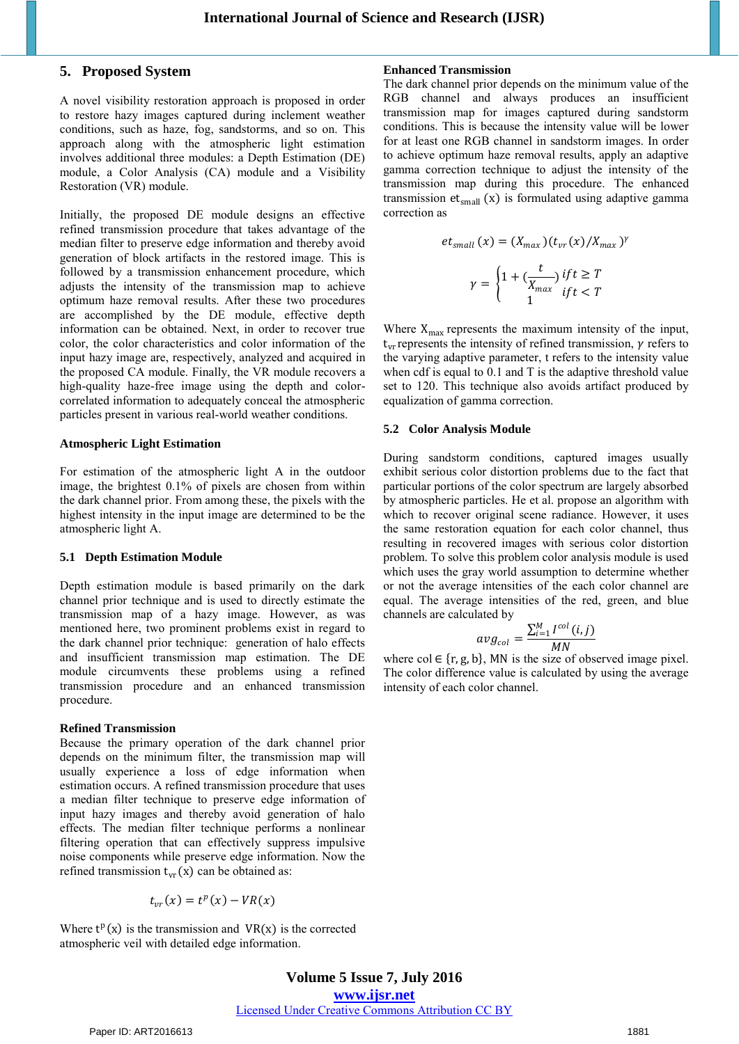## **5. Proposed System**

A novel visibility restoration approach is proposed in order to restore hazy images captured during inclement weather conditions, such as haze, fog, sandstorms, and so on. This approach along with the atmospheric light estimation involves additional three modules: a Depth Estimation (DE) module, a Color Analysis (CA) module and a Visibility Restoration (VR) module.

Initially, the proposed DE module designs an effective refined transmission procedure that takes advantage of the median filter to preserve edge information and thereby avoid generation of block artifacts in the restored image. This is followed by a transmission enhancement procedure, which adjusts the intensity of the transmission map to achieve optimum haze removal results. After these two procedures are accomplished by the DE module, effective depth information can be obtained. Next, in order to recover true color, the color characteristics and color information of the input hazy image are, respectively, analyzed and acquired in the proposed CA module. Finally, the VR module recovers a high-quality haze-free image using the depth and colorcorrelated information to adequately conceal the atmospheric particles present in various real-world weather conditions.

#### **Atmospheric Light Estimation**

For estimation of the atmospheric light A in the outdoor image, the brightest 0.1% of pixels are chosen from within the dark channel prior. From among these, the pixels with the highest intensity in the input image are determined to be the atmospheric light A.

#### **5.1 Depth Estimation Module**

Depth estimation module is based primarily on the dark channel prior technique and is used to directly estimate the transmission map of a hazy image. However, as was mentioned here, two prominent problems exist in regard to the dark channel prior technique: generation of halo effects and insufficient transmission map estimation. The DE module circumvents these problems using a refined transmission procedure and an enhanced transmission procedure.

#### **Refined Transmission**

Because the primary operation of the dark channel prior depends on the minimum filter, the transmission map will usually experience a loss of edge information when estimation occurs. A refined transmission procedure that uses a median filter technique to preserve edge information of input hazy images and thereby avoid generation of halo effects. The median filter technique performs a nonlinear filtering operation that can effectively suppress impulsive noise components while preserve edge information. Now the refined transmission  $t_{vr}(x)$  can be obtained as:

$$
t_{vr}(x) = t^p(x) - VR(x)
$$

Where  $t^p(x)$  is the transmission and  $VR(x)$  is the corrected atmospheric veil with detailed edge information.

## **Enhanced Transmission**

The dark channel prior depends on the minimum value of the RGB channel and always produces an insufficient transmission map for images captured during sandstorm conditions. This is because the intensity value will be lower for at least one RGB channel in sandstorm images. In order to achieve optimum haze removal results, apply an adaptive gamma correction technique to adjust the intensity of the transmission map during this procedure. The enhanced transmission  $et_{small} (x)$  is formulated using adaptive gamma correction as

$$
et_{small}(x) = (X_{max})(t_{vr}(x)/X_{max})^{\gamma}
$$

$$
\gamma = \begin{cases} 1 + \left(\frac{t}{X_{max}}\right) if t \ge T \\ 1 \end{cases}
$$

Where  $X_{\text{max}}$  represents the maximum intensity of the input,  $t_{vr}$  represents the intensity of refined transmission,  $\gamma$  refers to the varying adaptive parameter, t refers to the intensity value when cdf is equal to 0.1 and T is the adaptive threshold value set to 120. This technique also avoids artifact produced by equalization of gamma correction.

#### **5.2 Color Analysis Module**

During sandstorm conditions, captured images usually exhibit serious color distortion problems due to the fact that particular portions of the color spectrum are largely absorbed by atmospheric particles. He et al. propose an algorithm with which to recover original scene radiance. However, it uses the same restoration equation for each color channel, thus resulting in recovered images with serious color distortion problem. To solve this problem color analysis module is used which uses the gray world assumption to determine whether or not the average intensities of the each color channel are equal. The average intensities of the red, green, and blue channels are calculated by

$$
avg_{col} = \frac{\sum_{i=1}^{M} I^{col}(i,j)}{MN}
$$

where col  $\in \{r, g, b\}$ , MN is the size of observed image pixel. The color difference value is calculated by using the average intensity of each color channel.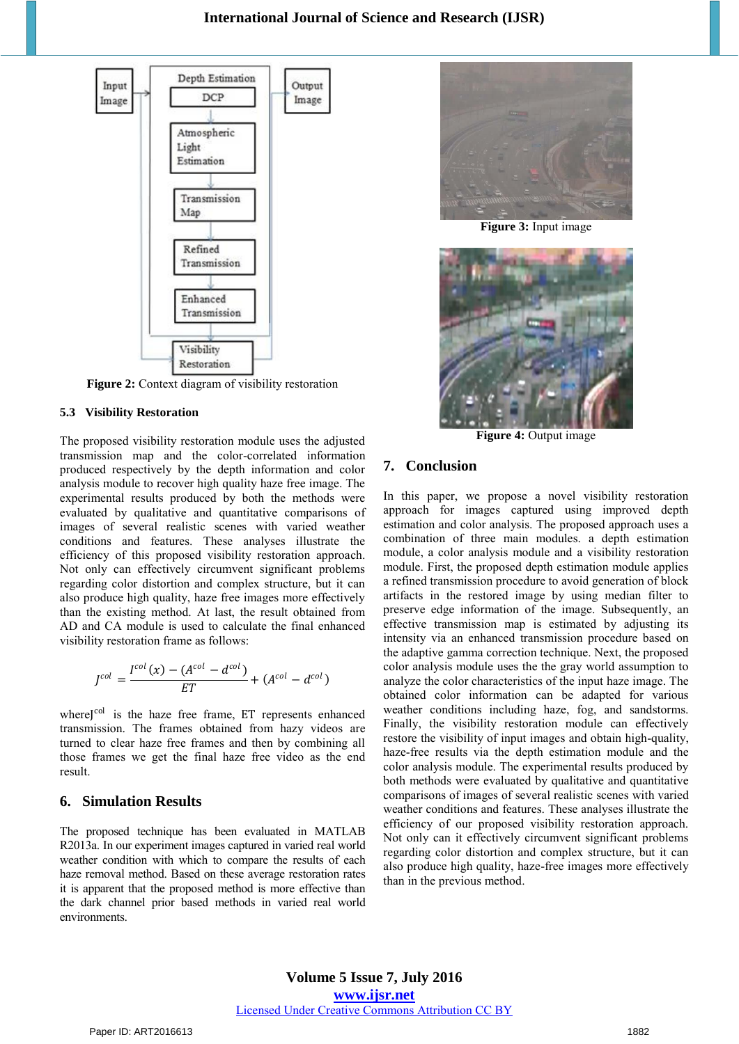

**Figure 2:** Context diagram of visibility restoration

#### **5.3 Visibility Restoration**

The proposed visibility restoration module uses the adjusted transmission map and the color-correlated information produced respectively by the depth information and color analysis module to recover high quality haze free image. The experimental results produced by both the methods were evaluated by qualitative and quantitative comparisons of images of several realistic scenes with varied weather conditions and features. These analyses illustrate the efficiency of this proposed visibility restoration approach. Not only can effectively circumvent significant problems regarding color distortion and complex structure, but it can also produce high quality, haze free images more effectively than the existing method. At last, the result obtained from AD and CA module is used to calculate the final enhanced visibility restoration frame as follows:

$$
J^{col} = \frac{I^{col}(x) - (A^{col} - d^{col})}{ET} + (A^{col} - d^{col})
$$

whereJ<sup>col</sup> is the haze free frame, ET represents enhanced transmission. The frames obtained from hazy videos are turned to clear haze free frames and then by combining all those frames we get the final haze free video as the end result.

## **6. Simulation Results**

The proposed technique has been evaluated in MATLAB R2013a. In our experiment images captured in varied real world weather condition with which to compare the results of each haze removal method. Based on these average restoration rates it is apparent that the proposed method is more effective than the dark channel prior based methods in varied real world environments.



**Figure 3:** Input image



**Figure 4: Output image** 

# **7. Conclusion**

In this paper, we propose a novel visibility restoration approach for images captured using improved depth estimation and color analysis. The proposed approach uses a combination of three main modules. a depth estimation module, a color analysis module and a visibility restoration module. First, the proposed depth estimation module applies a refined transmission procedure to avoid generation of block artifacts in the restored image by using median filter to preserve edge information of the image. Subsequently, an effective transmission map is estimated by adjusting its intensity via an enhanced transmission procedure based on the adaptive gamma correction technique. Next, the proposed color analysis module uses the the gray world assumption to analyze the color characteristics of the input haze image. The obtained color information can be adapted for various weather conditions including haze, fog, and sandstorms. Finally, the visibility restoration module can effectively restore the visibility of input images and obtain high-quality, haze-free results via the depth estimation module and the color analysis module. The experimental results produced by both methods were evaluated by qualitative and quantitative comparisons of images of several realistic scenes with varied weather conditions and features. These analyses illustrate the efficiency of our proposed visibility restoration approach. Not only can it effectively circumvent significant problems regarding color distortion and complex structure, but it can also produce high quality, haze-free images more effectively than in the previous method.